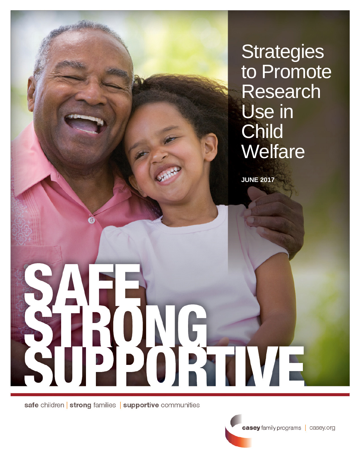**Strategies** to Promote Research Use in **Child Welfare** 

**JUNE 2017**

SAFE<br>SAFE<br>SUPPORTME

safe children | strong families | supportive communities

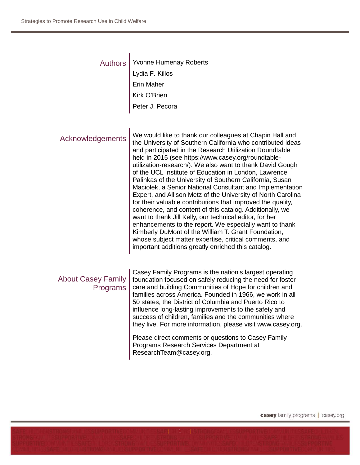| <b>Authors</b>                        | Yvonne Humenay Roberts<br>Lydia F. Killos<br>Erin Maher<br>Kirk O'Brien<br>Peter J. Pecora                                                                                                                                                                                                                                                                                                                                                                                                                                                                                                                                                                                                                                                                                                                                                                                                                                                                                       |
|---------------------------------------|----------------------------------------------------------------------------------------------------------------------------------------------------------------------------------------------------------------------------------------------------------------------------------------------------------------------------------------------------------------------------------------------------------------------------------------------------------------------------------------------------------------------------------------------------------------------------------------------------------------------------------------------------------------------------------------------------------------------------------------------------------------------------------------------------------------------------------------------------------------------------------------------------------------------------------------------------------------------------------|
| Acknowledgements                      | We would like to thank our colleagues at Chapin Hall and<br>the University of Southern California who contributed ideas<br>and participated in the Research Utilization Roundtable<br>held in 2015 (see https://www.casey.org/roundtable-<br>utilization-research/). We also want to thank David Gough<br>of the UCL Institute of Education in London, Lawrence<br>Palinkas of the University of Southern California, Susan<br>Maciolek, a Senior National Consultant and Implementation<br>Expert, and Allison Metz of the University of North Carolina<br>for their valuable contributions that improved the quality,<br>coherence, and content of this catalog. Additionally, we<br>want to thank Jill Kelly, our technical editor, for her<br>enhancements to the report. We especially want to thank<br>Kimberly DuMont of the William T. Grant Foundation,<br>whose subject matter expertise, critical comments, and<br>important additions greatly enriched this catalog. |
| <b>About Casey Family</b><br>Programs | Casey Family Programs is the nation's largest operating<br>foundation focused on safely reducing the need for foster<br>care and building Communities of Hope for children and<br>families across America. Founded in 1966, we work in all<br>50 states, the District of Columbia and Puerto Rico to<br>influence long-lasting improvements to the safety and<br>success of children, families and the communities where<br>they live. For more information, please visit www.casey.org.                                                                                                                                                                                                                                                                                                                                                                                                                                                                                         |
|                                       | Please direct comments or questions to Casey Family<br>Programs Research Services Department at<br>ResearchTeam@casey.org.                                                                                                                                                                                                                                                                                                                                                                                                                                                                                                                                                                                                                                                                                                                                                                                                                                                       |

| 1 |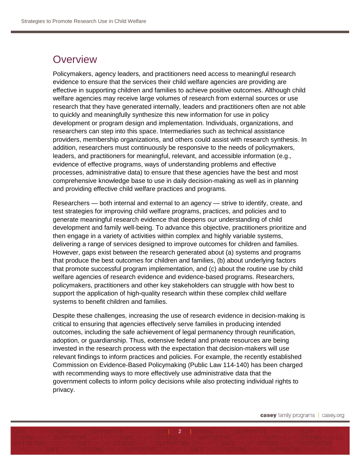#### **Overview**

Policymakers, agency leaders, and practitioners need access to meaningful research evidence to ensure that the services their child welfare agencies are providing are effective in supporting children and families to achieve positive outcomes. Although child welfare agencies may receive large volumes of research from external sources or use research that they have generated internally, leaders and practitioners often are not able to quickly and meaningfully synthesize this new information for use in policy development or program design and implementation. Individuals, organizations, and researchers can step into this space. Intermediaries such as technical assistance providers, membership organizations, and others could assist with research synthesis. In addition, researchers must continuously be responsive to the needs of policymakers, leaders, and practitioners for meaningful, relevant, and accessible information (e.g., evidence of effective programs, ways of understanding problems and effective processes, administrative data) to ensure that these agencies have the best and most comprehensive knowledge base to use in daily decision-making as well as in planning and providing effective child welfare practices and programs.

Researchers — both internal and external to an agency — strive to identify, create, and test strategies for improving child welfare programs, practices, and policies and to generate meaningful research evidence that deepens our understanding of child development and family well-being. To advance this objective, practitioners prioritize and then engage in a variety of activities within complex and highly variable systems, delivering a range of services designed to improve outcomes for children and families. However, gaps exist between the research generated about (a) systems and programs that produce the best outcomes for children and families, (b) about underlying factors that promote successful program implementation, and (c) about the routine use by child welfare agencies of research evidence and evidence-based programs. Researchers, policymakers, practitioners and other key stakeholders can struggle with how best to support the application of high-quality research within these complex child welfare systems to benefit children and families.

Despite these challenges, increasing the use of research evidence in decision-making is critical to ensuring that agencies effectively serve families in producing intended outcomes, including the safe achievement of legal permanency through reunification, adoption, or guardianship. Thus, extensive federal and private resources are being invested in the research process with the expectation that decision-makers will use relevant findings to inform practices and policies. For example, the recently established Commission on Evidence-Based Policymaking (Public Law 114-140) has been charged with recommending ways to more effectively use administrative data that the government collects to inform policy decisions while also protecting individual rights to privacy.

 $2 \mid$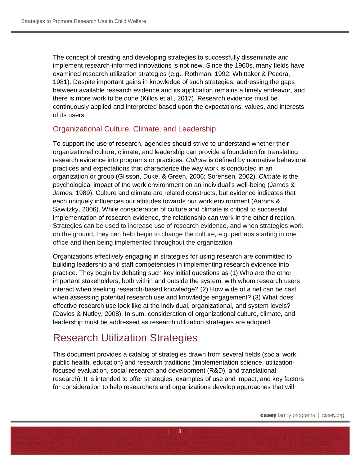The concept of creating and developing strategies to successfully disseminate and implement research-informed innovations is not new. Since the 1960s, many fields have examined research utilization strategies (e.g., Rothman, 1992; Whittaker & Pecora, 1981). Despite important gains in knowledge of such strategies, addressing the gaps between available research evidence and its application remains a timely endeavor, and there is more work to be done (Killos et al., 2017). Research evidence must be continuously applied and interpreted based upon the expectations, values, and interests of its users.

#### Organizational Culture, Climate, and Leadership

To support the use of research, agencies should strive to understand whether their organizational culture, climate, and leadership can provide a foundation for translating research evidence into programs or practices. *Culture* is defined by normative behavioral practices and expectations that characterize the way work is conducted in an organization or group (Glisson, Duke, & Green, 2006; Sorensen, 2002). *Climate* is the psychological impact of the work environment on an individual's well-being (James & James, 1989). Culture and climate are related constructs, but evidence indicates that each uniquely influences our attitudes towards our work environment (Aarons & Sawitzky, 2006). While consideration of culture and climate is critical to successful implementation of research evidence, the relationship can work in the other direction. Strategies can be used to increase use of research evidence, and when strategies work on the ground, they can help begin to change the culture, e.g. perhaps starting in one office and then being implemented throughout the organization.

Organizations effectively engaging in strategies for using research are committed to building leadership and staff competencies in implementing research evidence into practice. They begin by debating such key initial questions as (1) Who are the other important stakeholders, both within and outside the system, with whom research users interact when seeking research-based knowledge? (2) How wide of a net can be cast when assessing potential research use and knowledge engagement? (3) What does effective research use look like at the individual, organizational, and system levels? (Davies & Nutley, 2008). In sum, consideration of organizational culture, climate, and leadership must be addressed as research utilization strategies are adopted.

#### Research Utilization Strategies

This document provides a catalog of strategies drawn from several fields (social work, public health, education) and research traditions (implementation science, utilizationfocused evaluation, social research and development (R&D), and translational research). It is intended to offer strategies, examples of use and impact, and key factors for consideration to help researchers and organizations develop approaches that will

 $| 3 |$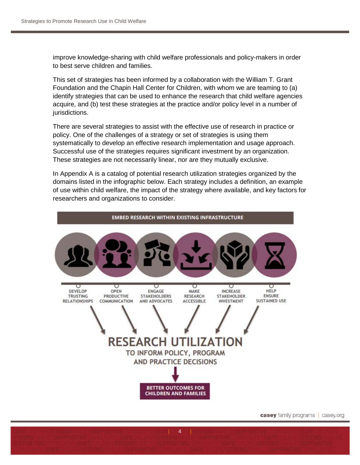improve knowledge-sharing with child welfare professionals and policy-makers in order to best serve children and families.

This set of strategies has been informed by a collaboration with the William T. Grant Foundation and the Chapin Hall Center for Children, with whom we are teaming to (a) identify strategies that can be used to enhance the research that child welfare agencies acquire, and (b) test these strategies at the practice and/or policy level in a number of jurisdictions.

There are several strategies to assist with the effective use of research in practice or policy. One of the challenges of a strategy or set of strategies is using them systematically to develop an effective research implementation and usage approach. Successful use of the strategies requires significant investment by an organization. These strategies are not necessarily linear, nor are they mutually exclusive.

In Appendix A is a catalog of potential research utilization strategies organized by the domains listed in the infographic below. Each strategy includes a definition, an example of use within child welfare, the impact of the strategy where available, and key factors for researchers and organizations to consider.



 $\mathbf{A}$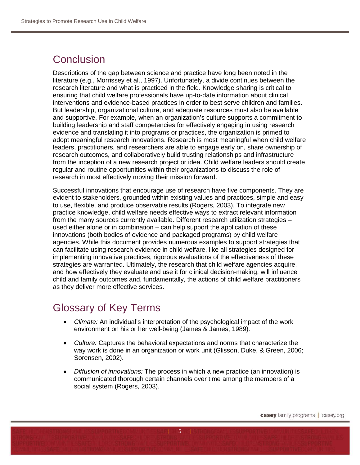## **Conclusion**

Descriptions of the gap between science and practice have long been noted in the literature (e.g., Morrissey et al., 1997). Unfortunately, a divide continues between the research literature and what is practiced in the field. Knowledge sharing is critical to ensuring that child welfare professionals have up-to-date information about clinical interventions and evidence-based practices in order to best serve children and families. But leadership, organizational culture, and adequate resources must also be available and supportive. For example, when an organization's culture supports a commitment to building leadership and staff competencies for effectively engaging in using research evidence and translating it into programs or practices, the organization is primed to adopt meaningful research innovations. Research is most meaningful when child welfare leaders, practitioners, and researchers are able to engage early on, share ownership of research outcomes, and collaboratively build trusting relationships and infrastructure from the inception of a new research project or idea. Child welfare leaders should create regular and routine opportunities within their organizations to discuss the role of research in most effectively moving their mission forward.

Successful innovations that encourage use of research have five components. They are evident to stakeholders, grounded within existing values and practices, simple and easy to use, flexible, and produce observable results (Rogers, 2003). To integrate new practice knowledge, child welfare needs effective ways to extract relevant information from the many sources currently available. Different research utilization strategies – used either alone or in combination – can help support the application of these innovations (both bodies of evidence and packaged programs) by child welfare agencies. While this document provides numerous examples to support strategies that can facilitate using research evidence in child welfare, like all strategies designed for implementing innovative practices, rigorous evaluations of the effectiveness of these strategies are warranted. Ultimately, the research that child welfare agencies acquire, and how effectively they evaluate and use it for clinical decision-making, will influence child and family outcomes and, fundamentally, the actions of child welfare practitioners as they deliver more effective services.

### Glossary of Key Terms

- *Climate:* An individual's interpretation of the psychological impact of the work environment on his or her well-being (James & James, 1989).
- *Culture:* Captures the behavioral expectations and norms that characterize the way work is done in an organization or work unit (Glisson, Duke, & Green, 2006; Sorensen, 2002).
- *Diffusion of innovations:* The process in which a new practice (an innovation) is communicated thorough certain channels over time among the members of a social system (Rogers, 2003).

 $5$  |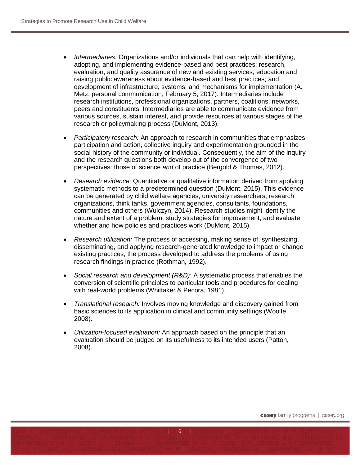- *Intermediaries:* Organizations and/or individuals that can help with identifying, adopting, and implementing evidence-based and best practices; research, evaluation, and quality assurance of new and existing services; education and raising public awareness about evidence-based and best practices; and development of infrastructure, systems, and mechanisms for implementation (A. Metz, personal communication, February 5, 2017). Intermediaries include research institutions, professional organizations, partners, coalitions, networks, peers and constituents. Intermediaries are able to communicate evidence from various sources, sustain interest, and provide resources at various stages of the research or policymaking process (DuMont, 2013).
- *Participatory research:* An approach to research in communities that emphasizes participation and action, collective inquiry and experimentation grounded in the social history of the community or individual. Consequently, the aim of the inquiry and the research questions both develop out of the convergence of two perspectives: those of science *and* of practice (Bergold & Thomas, 2012).
- *Research evidence:* Quantitative or qualitative information derived from applying systematic methods to a predetermined question (DuMont, 2015). This evidence can be generated by child welfare agencies, university researchers, research organizations, think tanks, government agencies, consultants, foundations, communities and others (Wulczyn, 2014). Research studies might identify the nature and extent of a problem, study strategies for improvement, and evaluate whether and how policies and practices work (DuMont, 2015).
- *Research utilization:* The process of accessing, making sense of, synthesizing, disseminating, and applying research-generated knowledge to impact or change existing practices; the process developed to address the problems of using research findings in practice (Rothman, 1992).
- *Social research and development (R&D)*: A systematic process that enables the conversion of scientific principles to particular tools and procedures for dealing with real-world problems (Whittaker & Pecora, 1981).
- *Translational research:* Involves moving knowledge and discovery gained from basic sciences to its application in clinical and community settings (Woolfe, 2008).
- *Utilization-focused evaluation:* An approach based on the principle that an evaluation should be judged on its usefulness to its intended users (Patton, 2008).

 $6$  |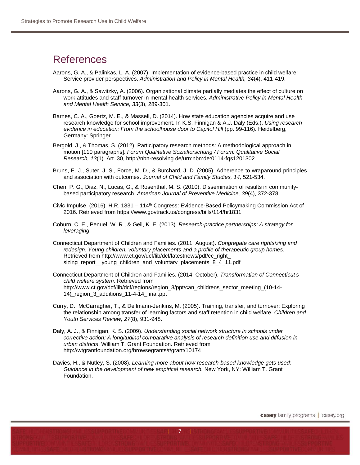#### **References**

- Aarons, G. A., & Palinkas, L. A. (2007). Implementation of evidence-based practice in child welfare: Service provider perspectives. *Administration and Policy in Mental Health, 34*(4), 411-419.
- Aarons, G. A., & Sawitzky, A. (2006). Organizational climate partially mediates the effect of culture on work attitudes and staff turnover in mental health services. *Administrative Policy in Mental Health and Mental Health Service, 33*(3), 289-301.
- Barnes, C. A., Goertz, M. E., & Massell, D. (2014). How state education agencies acquire and use research knowledge for school improvement. In K.S. Finnigan & A.J. Daly (Eds.), *Using research evidence in education: From the schoolhouse door to Capitol Hill (pp. 99-116). Heidelberg,* Germany: Springer.
- Bergold, J., & Thomas, S. (2012). Participatory research methods: A methodological approach in motion [110 paragraphs]. *Forum Qualitative Sozialforschung / Forum: Qualitative Social Research, 13*(1). Art. 30, <http://nbn-resolving.de/urn:nbn:de:0114-fqs1201302>
- Bruns, E. J., Suter, J. S., Force, M. D., & Burchard, J. D. (2005). Adherence to wraparound principles and association with outcomes. *Journal of Child and Family Studies, 14,* 521-534.
- Chen, P. G., Diaz, N., Lucas, G., & Rosenthal, M. S. (2010). Dissemination of results in communitybased participatory research. *American Journal of Preventive Medicine, 39*(4), 372-378.
- Civic Impulse. (2016). H.R. 1831 114th Congress: Evidence-Based Policymaking Commission Act of 2016. Retrieved from https://www.govtrack.us/congress/bills/114/hr1831
- Coburn, C. E., Penuel, W. R., & Geil, K. E. (2013). *Research-practice partnerships: A strategy for leveraging*
- Connecticut Department of Children and Families. (2011, August). *Congregate care rightsizing and redesign: Young children, voluntary placements and a profile of therapeutic group homes*. Retrieved from [http://www.ct.gov/dcf/lib/dcf/latestnews/pdf/cc\\_right\\_](http://www.ct.gov/dcf/lib/dcf/latestnews/pdf/cc_right_) sizing\_report\_\_young\_children\_and\_voluntary\_placements\_8\_4\_11.pdf
- Connecticut Department of Children and Families. (2014, October). *Transformation of Connecticut's child welfare system.* Retrieved from [http://www.ct.gov/dcf/lib/dcf/regions/region\\_3/ppt/can\\_childrens\\_sector\\_meeting\\_\(10-14-](http://www.ct.gov/dcf/lib/dcf/regions/region_3/ppt/can_childrens_sector_meeting_(10-14-14)_region_3_additions_11-4-14_final.ppt) [14\)\\_region\\_3\\_additions\\_11-4-14\\_final.ppt](http://www.ct.gov/dcf/lib/dcf/regions/region_3/ppt/can_childrens_sector_meeting_(10-14-14)_region_3_additions_11-4-14_final.ppt)
- Curry, D., McCarragher, T., & Dellmann-Jenkins, M. (2005). Training, transfer, and turnover: Exploring the relationship among transfer of learning factors and staff retention in child welfare. *Children and Youth Services Review, 27*(8), 931-948.
- Daly, A. J., & Finnigan, K. S. (2009). *Understanding social network structure in schools under corrective action: A longitudinal comparative analysis of research definition use and diffusion in urban districts*. William T. Grant Foundation. Retrieved from [http://wtgrantfoundation.org/browsegrants#/grant/10174](http://wtgrantfoundation.org/browsegrants%23/%26text%3Dbayer)
- Davies, H., & Nutley, S. (2008). *Learning more about how research-based knowledge gets used: Guidance in the development of new empirical research.* New York, NY: William T. Grant Foundation.

 $\overline{7}$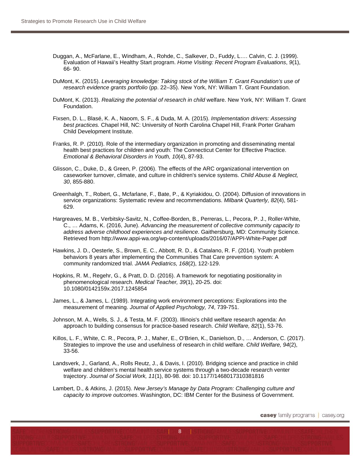- Duggan, A., McFarlane, E., Windham, A., Rohde, C., Salkever, D., Fuddy, L…. Calvin, C. J. (1999). Evaluation of Hawaii's Healthy Start program. *Home Visiting: Recent Program Evaluations*, *9*(1), 66- 90.
- DuMont, K. (2015). *Leveraging knowledge: Taking stock of the William T. Grant Foundation's use of research evidence grants portfolio* (pp. 22–35). New York, NY: William T. Grant Foundation.
- DuMont, K. (2013). *Realizing the potential of research in child* welfare. New York, NY: William T. Grant Foundation.
- Fixsen, D. L., Blasé, K. A., Naoom, S. F., & Duda, M. A. (2015). *Implementation drivers: Assessing best practices.* Chapel Hill, NC: University of North Carolina Chapel Hill, Frank Porter Graham Child Development Institute.
- Franks, R. P. (2010). Role of the intermediary organization in promoting and disseminating mental health best practices for children and youth: The Connecticut Center for Effective Practice. *Emotional & Behavioral Disorders in Youth, 10*(4), 87-93.
- Glisson, C., Duke, D., & Green, P. (2006). The effects of the ARC organizational intervention on caseworker turnover, climate, and culture in children's service systems. *Child Abuse & Neglect, 30*, 855-880.
- Greenhalgh, T., Robert, G., Mcfarlane, F., Bate, P., & Kyriakidou, O. (2004). Diffusion of innovations in service organizations: Systematic review and recommendations. *Milbank Quarterly, 82*(4), 581- 629.
- Hargreaves, M. B., Verbitsky-Savitz, N., Coffee-Borden, B., Perreras, L., Pecora, P. J., Roller-White, C., … Adams, K. (2016, June). *Advancing the measurement of collective community capacity to address adverse childhood experiences and resilience*. Gaithersburg, MD: Community Science. Retrieved from http://www.appi-wa.org/wp-content/uploads/2016/07/APPI-White-Paper.pdf
- Hawkins, J. D., Oesterle, S., Brown, E. C., Abbott, R. D., & Catalano, R. F. (2014). Youth problem behaviors 8 years after implementing the Communities That Care prevention system: A community randomized trial. *JAMA Pediatrics, 168*(2), 122-129.
- Hopkins, R. M., Regehr, G., & Pratt, D. D. (2016). A framework for negotiating positionality in phenomenological research. *Medical Teacher, 39*(1), 20-25. doi: 10.1080/0142159x.2017.1245854
- James, L., & James, L. (1989). Integrating work environment perceptions: Explorations into the measurement of meaning. *Journal of Applied Psychology, 74*, 739-751.
- Johnson, M. A., Wells, S. J., & Testa, M. F. (2003). Illinois's child welfare research agenda: An approach to building consensus for practice-based research. *Child Welfare, 82*(1), 53-76.
- Killos, L. F., White, C. R., Pecora, P. J., Maher, E., O'Brien, K., Danielson, D., … Anderson, C. (2017). Strategies to improve the use and usefulness of research in child welfare. *Child Welfare, 94*(2), 33-56.
- Landsverk, J., Garland, A., Rolls Reutz, J., & Davis, I. (2010). Bridging science and practice in child welfare and children's mental health service systems through a two-decade research venter trajectory. *Journal of Social Work, 11*(1), 80-98. doi: 10.1177/1468017310381816
- Lambert, D., & Atkins, J. (2015). *New Jersey's Manage by Data Program: Challenging culture and capacity to improve outcomes*. Washington, DC: IBM Center for the Business of Government.

 $\overline{8}$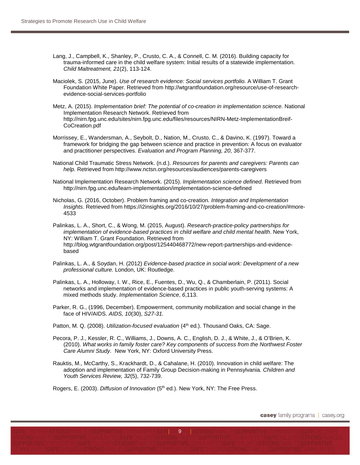- Lang, J., Campbell, K., Shanley, P., Crusto, C. A., & Connell, C. M. (2016). Building capacity for trauma-informed care in the child welfare system: Initial results of a statewide implementation. *Child Maltreatment, 21*(2), 113-124.
- Maciolek, S. (2015, June). *Use of research evidence: Social services portfolio.* A William T. Grant Foundation White Paper. Retrieved from http://wtgrantfoundation.org/resource/use-of-researchevidence-social-services-portfolio
- Metz, A. (2015). *Implementation brief: The potential of co-creation in implementation science.* National Implementation Research Network. Retrieved from http://nirn.fpg.unc.edu/sites/nirn.fpg.unc.edu/files/resources/NIRN-Metz-ImplementationBreif-CoCreation.pdf
- Morrissey, E., Wandersman, A., Seybolt, D., Nation, M., Crusto, C., & Davino, K. (1997). Toward a framework for bridging the gap between science and practice in prevention: A focus on evaluator and practitioner perspectives. *Evaluation and Program Planning, 20*, 367-377.
- National Child Traumatic Stress Network. (n.d.). *Resources for parents and caregivers: Parents can help.* Retrieved from http://www.nctsn.org/resources/audiences/parents-caregivers
- National Implementation Research Network. (2015). *Implementation science defined*. Retrieved from http://nirn.fpg.unc.edu/learn-implementation/implementation-science-defined
- Nicholas, G. (2016, October). Problem framing and co-creation*. Integration and Implementation Insights*. Retrieved from https://i2insights.org/2016/10/27/problem-framing-and-co-creation/#more-4533
- Palinkas, L. A., Short, C., & Wong, M. (2015, August). *Research-practice-policy partnerships for*  implementation of evidence-based practices in child welfare and child mental health. New York, NY: William T. Grant Foundation. Retrieved from http://blog.wtgrantfoundation.org/post/125440468772/new-report-partnerships-and-evidencebased
- Palinkas, L. A., & Soydan, H. (2012) *Evidence-based practice in social work: Development of a new professional culture.* London, UK: Routledge.
- Palinkas, L. A., Holloway, I. W., Rice, E., Fuentes, D., Wu, Q., & Chamberlain, P. (2011). Social networks and implementation of evidence-based practices in public youth-serving systems: A mixed methods study. *Implementation Science*, *6*,113.
- Parker, R. G., (1996, December). Empowerment, community mobilization and social change in the face of HIV/AIDS. *AIDS, 10*(30), *S27-31.*
- Patton, M. Q. (2008). *Utilization-focused evaluation* (4<sup>th</sup> ed.). Thousand Oaks, CA: Sage.
- Pecora, P. J., Kessler, R. C., Williams, J., Downs, A. C., English, D. J., & White, J., & O'Brien, K. (2010). *What works in family foster care? Key components of success from the Northwest Foster Care Alumni Study.* New York, NY: Oxford University Press.
- Rauktis, M., McCarthy, S., Krackhardt, D., & Cahalane, H. (2010). Innovation in child welfare: The adoption and implementation of Family Group Decision-making in Pennsylvania*. Children and Youth Services Review, 32*(5), 732-739.

 $| 9 \rangle$ 

Rogers, E. (2003). *Diffusion of Innovation* (5<sup>th</sup> ed.). New York, NY: The Free Press.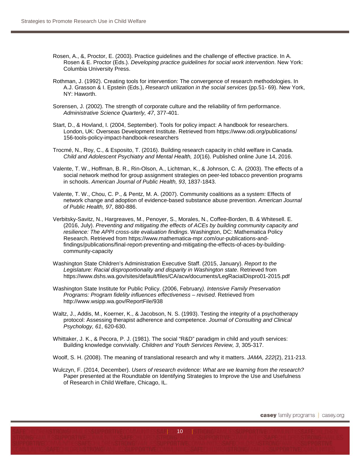- Rosen, A., &, Proctor, E. (2003). Practice guidelines and the challenge of effective practice. In A. Rosen & E. Proctor (Eds.). *Developing practice guidelines for social work intervention*. New York: Columbia University Press.
- Rothman, J. (1992). Creating tools for intervention: The convergence of research methodologies. In A.J. Grasson & I. Epstein (Eds.), *Research utilization in the social services* (pp.51- 69). New York, NY: Haworth.
- Sorensen, J. (2002). The strength of corporate culture and the reliability of firm performance. *Administrative Science Quarterly, 47*, 377-401.
- Start, D., & Hovland, I. (2004, September). Tools for policy impact: A handbook for researchers. London, UK: Overseas Development Institute. Retrieved from https://www.odi.org/publications/ 156-tools-policy-impact-handbook-researchers
- Trocmé, N., Roy, C., & Esposito, T. (2016). Building research capacity in child welfare in Canada. *Child and Adolescent Psychiatry and Mental Health, 10*(16). Published online June 14, 2016.
- Valente, T. W., Hoffman, B. R., Rin-Olson, A., Lichtman, K., & Johnson, C. A. (2003). The effects of a social network method for group assignment strategies on peer-led tobacco prevention programs in schools. *American Journal of Public Health, 93*, 1837-1843.
- Valente, T. W., Chou, C. P., & Pentz, M. A. (2007). Community coalitions as a system: Effects of network change and adoption of evidence-based substance abuse prevention. *American Journal of Public Health, 97*, 880-886.
- Verbitsky-Savitz, N., Hargreaves, M., Penoyer, S., Morales, N., Coffee-Borden, B. & Whitesell. E. (2016, July). *Preventing and mitigating the effects of ACEs by building community capacity and resilience: The APPI cross-site evaluation findings*. Washington, DC: Mathematica Policy Research. Retrieved from https://www.mathematica-mpr.com/our-publications-andfindings/publications/final-report-preventing-and-mitigating-the-effects-of-aces-by-buildingcommunity-capacity
- Washington State Children's Administration Executive Staff. (2015, January). *Report to the Legislature: Racial disproportionality and disparity in Washington state*. Retrieved from https://www.dshs.wa.gov/sites/default/files/CA/acw/documents/LegRacialDispro01-2015.pdf
- Washington State Institute for Public Policy. (2006, February*). Intensive Family Preservation Programs: Program fidelity influences effectiveness – revised*. Retrieved from http://www.wsipp.wa.gov/ReportFile/938
- Waltz, J., Addis, M., Koerner, K., & Jacobson, N. S. (1993). Testing the integrity of a psychotherapy protocol: Assessing therapist adherence and competence. *Journal of Consulting and Clinical Psychology, 61*, 620-630.
- Whittaker, J. K., & Pecora, P. J. (1981). The social "R&D" paradigm in child and youth services: Building knowledge convivially. *Children and Youth Services Review, 3*, 305-317.

Woolf, S. H. (2008). The meaning of translational research and why it matters. *JAMA, 222*(2), 211-213.

Wulczyn, F. (2014, December). *Users of research evidence: What are we learning from the research?* Paper presented at the Roundtable on Identifying Strategies to Improve the Use and Usefulness of Research in Child Welfare, Chicago, IL.

10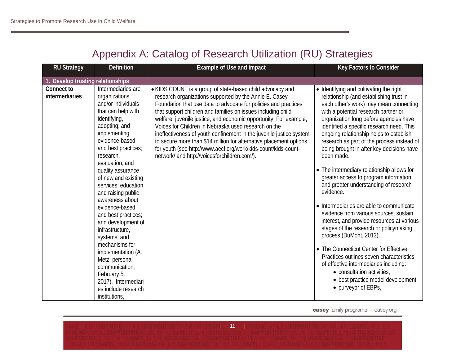# Appendix A: Catalog of Research Utilization (RU) Strategies

| <b>RU Strategy</b>             | <b>Definition</b>                                                                                                                                                                                         | <b>Example of Use and Impact</b>                                                                                                                                                                                                                                                                                                                                                                                                                                                                                                                                                                                                                   | Key Factors to Consider                                                                                                                                                                                                                                                                                                                                                                                         |
|--------------------------------|-----------------------------------------------------------------------------------------------------------------------------------------------------------------------------------------------------------|----------------------------------------------------------------------------------------------------------------------------------------------------------------------------------------------------------------------------------------------------------------------------------------------------------------------------------------------------------------------------------------------------------------------------------------------------------------------------------------------------------------------------------------------------------------------------------------------------------------------------------------------------|-----------------------------------------------------------------------------------------------------------------------------------------------------------------------------------------------------------------------------------------------------------------------------------------------------------------------------------------------------------------------------------------------------------------|
| Develop trusting relationships |                                                                                                                                                                                                           |                                                                                                                                                                                                                                                                                                                                                                                                                                                                                                                                                                                                                                                    |                                                                                                                                                                                                                                                                                                                                                                                                                 |
| Connect to<br>intermediaries   | Intermediaries are<br>organizations<br>and/or individuals<br>that can help with<br>identifying,<br>adopting, and<br>implementing<br>evidence-based<br>and best practices;<br>research,<br>evaluation, and | • KIDS COUNT is a group of state-based child advocacy and<br>research organizations supported by the Annie E. Casey<br>Foundation that use data to advocate for policies and practices<br>that support children and families on issues including child<br>welfare, juvenile justice, and economic opportunity. For example,<br>Voices for Children in Nebraska used research on the<br>ineffectiveness of youth confinement in the juvenile justice system<br>to secure more than \$14 million for alternative placement options<br>for youth (see http://www.aecf.org/work/kids-count/kids-count-<br>network/ and http://voicesforchildren.com/). | • Identifying and cultivating the right<br>relationship (and establishing trust in<br>each other's work) may mean connecting<br>with a potential research partner or<br>organization long before agencies have<br>identified a specific research need. This<br>ongoing relationship helps to establish<br>research as part of the process instead of<br>being brought in after key decisions have<br>been made. |
|                                | quality assurance<br>of new and existing<br>services; education<br>and raising public<br>awareness about                                                                                                  |                                                                                                                                                                                                                                                                                                                                                                                                                                                                                                                                                                                                                                                    | • The intermediary relationship allows for<br>greater access to program information<br>and greater understanding of research<br>evidence.                                                                                                                                                                                                                                                                       |
|                                | evidence-based<br>and best practices;<br>and development of<br>infrastructure,<br>systems, and                                                                                                            |                                                                                                                                                                                                                                                                                                                                                                                                                                                                                                                                                                                                                                                    | • Intermediaries are able to communicate<br>evidence from various sources, sustain<br>interest, and provide resources at various<br>stages of the research or policymaking<br>process (DuMont, 2013).                                                                                                                                                                                                           |
|                                | mechanisms for<br>implementation (A.<br>Metz, personal<br>communication,<br>February 5,<br>2017). Intermediari<br>es include research<br>institutions,                                                    |                                                                                                                                                                                                                                                                                                                                                                                                                                                                                                                                                                                                                                                    | • The Connecticut Center for Effective<br>Practices outlines seven characteristics<br>of effective intermediaries including:<br>• consultation activities,<br>• best practice model development,<br>• purveyor of EBPs,                                                                                                                                                                                         |

| 11 | 11 | 11 | 13 | 13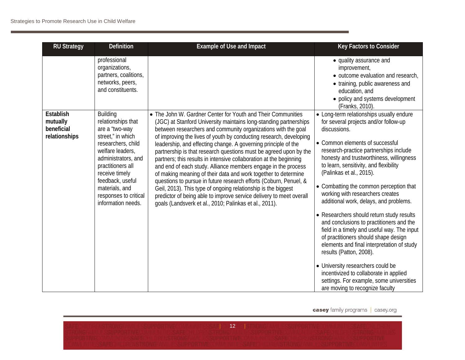| <b>RU Strategy</b>                                   | <b>Definition</b>                                                                                                                                                                                                                                                         | <b>Example of Use and Impact</b>                                                                                                                                                                                                                                                                                                                                                                                                                                                                                                                                                                                                                                                                                                                                                                                                                                                                | Key Factors to Consider                                                                                                                                                                                                                                                                                                                                                                                                                                                                                                                                                                                                                                                                                                                                                                                                                          |
|------------------------------------------------------|---------------------------------------------------------------------------------------------------------------------------------------------------------------------------------------------------------------------------------------------------------------------------|-------------------------------------------------------------------------------------------------------------------------------------------------------------------------------------------------------------------------------------------------------------------------------------------------------------------------------------------------------------------------------------------------------------------------------------------------------------------------------------------------------------------------------------------------------------------------------------------------------------------------------------------------------------------------------------------------------------------------------------------------------------------------------------------------------------------------------------------------------------------------------------------------|--------------------------------------------------------------------------------------------------------------------------------------------------------------------------------------------------------------------------------------------------------------------------------------------------------------------------------------------------------------------------------------------------------------------------------------------------------------------------------------------------------------------------------------------------------------------------------------------------------------------------------------------------------------------------------------------------------------------------------------------------------------------------------------------------------------------------------------------------|
|                                                      | professional<br>organizations,<br>partners, coalitions,<br>networks, peers,<br>and constituents.                                                                                                                                                                          |                                                                                                                                                                                                                                                                                                                                                                                                                                                                                                                                                                                                                                                                                                                                                                                                                                                                                                 | • quality assurance and<br>improvement,<br>• outcome evaluation and research,<br>• training, public awareness and<br>education, and<br>• policy and systems development<br>(Franks, 2010).                                                                                                                                                                                                                                                                                                                                                                                                                                                                                                                                                                                                                                                       |
| Establish<br>mutually<br>beneficial<br>relationships | <b>Building</b><br>relationships that<br>are a "two-way<br>street," in which<br>researchers, child<br>welfare leaders,<br>administrators, and<br>practitioners all<br>receive timely<br>feedback, useful<br>materials, and<br>responses to critical<br>information needs. | • The John W. Gardner Center for Youth and Their Communities<br>(JGC) at Stanford University maintains long-standing partnerships<br>between researchers and community organizations with the goal<br>of improving the lives of youth by conducting research, developing<br>leadership, and effecting change. A governing principle of the<br>partnership is that research questions must be agreed upon by the<br>partners; this results in intensive collaboration at the beginning<br>and end of each study. Alliance members engage in the process<br>of making meaning of their data and work together to determine<br>questions to pursue in future research efforts (Coburn, Penuel, &<br>Geil, 2013). This type of ongoing relationship is the biggest<br>predictor of being able to improve service delivery to meet overall<br>goals (Landsverk et al., 2010; Palinkas et al., 2011). | • Long-term relationships usually endure<br>for several projects and/or follow-up<br>discussions.<br>• Common elements of successful<br>research-practice partnerships include<br>honesty and trustworthiness, willingness<br>to learn, sensitivity, and flexibility<br>(Palinkas et al., 2015).<br>• Combatting the common perception that<br>working with researchers creates<br>additional work, delays, and problems.<br>• Researchers should return study results<br>and conclusions to practitioners and the<br>field in a timely and useful way. The input<br>of practitioners should shape design<br>elements and final interpretation of study<br>results (Patton, 2008).<br>• University researchers could be<br>incentivized to collaborate in applied<br>settings. For example, some universities<br>are moving to recognize faculty |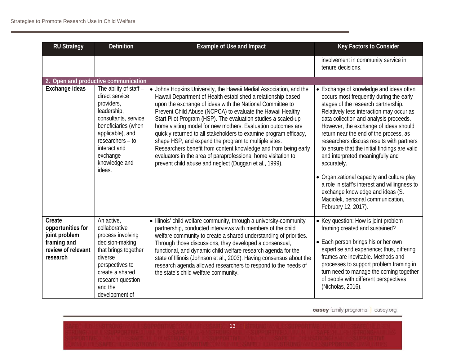| <b>RU Strategy</b>                                                                            | <b>Definition</b>                                                                                                                                                                                                   | <b>Example of Use and Impact</b>                                                                                                                                                                                                                                                                                                                                                                                                                                                                                                                                                                                                                                                                                          | Key Factors to Consider                                                                                                                                                                                                                                                                                                                                                                                                                                                                                                                                                                                                                            |
|-----------------------------------------------------------------------------------------------|---------------------------------------------------------------------------------------------------------------------------------------------------------------------------------------------------------------------|---------------------------------------------------------------------------------------------------------------------------------------------------------------------------------------------------------------------------------------------------------------------------------------------------------------------------------------------------------------------------------------------------------------------------------------------------------------------------------------------------------------------------------------------------------------------------------------------------------------------------------------------------------------------------------------------------------------------------|----------------------------------------------------------------------------------------------------------------------------------------------------------------------------------------------------------------------------------------------------------------------------------------------------------------------------------------------------------------------------------------------------------------------------------------------------------------------------------------------------------------------------------------------------------------------------------------------------------------------------------------------------|
|                                                                                               |                                                                                                                                                                                                                     |                                                                                                                                                                                                                                                                                                                                                                                                                                                                                                                                                                                                                                                                                                                           | involvement in community service in<br>tenure decisions.                                                                                                                                                                                                                                                                                                                                                                                                                                                                                                                                                                                           |
|                                                                                               | 2. Open and productive communication                                                                                                                                                                                |                                                                                                                                                                                                                                                                                                                                                                                                                                                                                                                                                                                                                                                                                                                           |                                                                                                                                                                                                                                                                                                                                                                                                                                                                                                                                                                                                                                                    |
| Exchange ideas                                                                                | The ability of staff -<br>direct service<br>providers,<br>leadership,<br>consultants, service<br>beneficiaries (when<br>applicable), and<br>researchers - to<br>interact and<br>exchange<br>knowledge and<br>ideas. | • Johns Hopkins University, the Hawaii Medial Association, and the<br>Hawaii Department of Health established a relationship based<br>upon the exchange of ideas with the National Committee to<br>Prevent Child Abuse (NCPCA) to evaluate the Hawaii Healthy<br>Start Pilot Program (HSP). The evaluation studies a scaled-up<br>home visiting model for new mothers. Evaluation outcomes are<br>quickly returned to all stakeholders to examine program efficacy,<br>shape HSP, and expand the program to multiple sites.<br>Researchers benefit from content knowledge and from being early<br>evaluators in the area of paraprofessional home visitation to<br>prevent child abuse and neglect (Duggan et al., 1999). | • Exchange of knowledge and ideas often<br>occurs most frequently during the early<br>stages of the research partnership.<br>Relatively less interaction may occur as<br>data collection and analysis proceeds.<br>However, the exchange of ideas should<br>return near the end of the process, as<br>researchers discuss results with partners<br>to ensure that the initial findings are valid<br>and interpreted meaningfully and<br>accurately.<br>• Organizational capacity and culture play<br>a role in staff's interest and willingness to<br>exchange knowledge and ideas (S.<br>Maciolek, personal communication,<br>February 12, 2017). |
| Create<br>opportunities for<br>joint problem<br>framing and<br>review of relevant<br>research | An active,<br>collaborative<br>process involving<br>decision-making<br>that brings together<br>diverse<br>perspectives to<br>create a shared<br>research question<br>and the<br>development of                      | • Illinois' child welfare community, through a university-community<br>partnership, conducted interviews with members of the child<br>welfare community to create a shared understanding of priorities.<br>Through those discussions, they developed a consensual,<br>functional, and dynamic child welfare research agenda for the<br>state of Illinois (Johnson et al., 2003). Having consensus about the<br>research agenda allowed researchers to respond to the needs of<br>the state's child welfare community.                                                                                                                                                                                                     | • Key question: How is joint problem<br>framing created and sustained?<br>• Each person brings his or her own<br>expertise and experience; thus, differing<br>frames are inevitable. Methods and<br>processes to support problem framing in<br>turn need to manage the coming together<br>of people with different perspectives<br>(Nicholas, 2016).                                                                                                                                                                                                                                                                                               |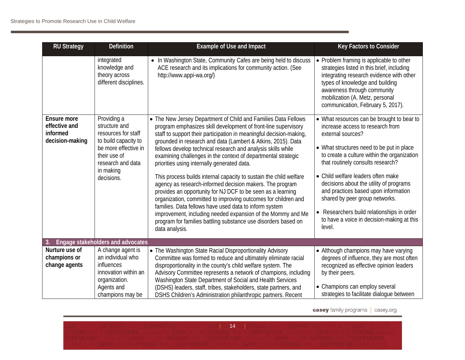| <b>RU Strategy</b>                                          | <b>Definition</b>                                                                                                                                                   | <b>Example of Use and Impact</b>                                                                                                                                                                                                                                                                                                                                                                                                                                                                                                                                                                                                                                                                                                                                                                                                                                                                                                        | Key Factors to Consider                                                                                                                                                                                                                                                                                                                                                                                                                                                                               |
|-------------------------------------------------------------|---------------------------------------------------------------------------------------------------------------------------------------------------------------------|-----------------------------------------------------------------------------------------------------------------------------------------------------------------------------------------------------------------------------------------------------------------------------------------------------------------------------------------------------------------------------------------------------------------------------------------------------------------------------------------------------------------------------------------------------------------------------------------------------------------------------------------------------------------------------------------------------------------------------------------------------------------------------------------------------------------------------------------------------------------------------------------------------------------------------------------|-------------------------------------------------------------------------------------------------------------------------------------------------------------------------------------------------------------------------------------------------------------------------------------------------------------------------------------------------------------------------------------------------------------------------------------------------------------------------------------------------------|
|                                                             | integrated<br>knowledge and<br>theory across<br>different disciplines.                                                                                              | • In Washington State, Community Cafes are being held to discuss<br>ACE research and its implications for community action. (See<br>http://www.appi-wa.org/)                                                                                                                                                                                                                                                                                                                                                                                                                                                                                                                                                                                                                                                                                                                                                                            | • Problem framing is applicable to other<br>strategies listed in this brief, including<br>integrating research evidence with other<br>types of knowledge and building<br>awareness through community<br>mobilization (A. Metz, personal<br>communication, February 5, 2017).                                                                                                                                                                                                                          |
| Ensure more<br>effective and<br>informed<br>decision-making | Providing a<br>structure and<br>resources for staff<br>to build capacity to<br>be more effective in<br>their use of<br>research and data<br>in making<br>decisions. | • The New Jersey Department of Child and Families Data Fellows<br>program emphasizes skill development of front-line supervisory<br>staff to support their participation in meaningful decision-making,<br>grounded in research and data (Lambert & Atkins, 2015). Data<br>fellows develop technical research and analysis skills while<br>examining challenges in the context of departmental strategic<br>priorities using internally generated data.<br>This process builds internal capacity to sustain the child welfare<br>agency as research-informed decision makers. The program<br>provides an opportunity for NJ DCF to be seen as a learning<br>organization, committed to improving outcomes for children and<br>families. Data fellows have used data to inform system<br>improvement, including needed expansion of the Mommy and Me<br>program for families battling substance use disorders based on<br>data analysis. | • What resources can be brought to bear to<br>increase access to research from<br>external sources?<br>• What structures need to be put in place<br>to create a culture within the organization<br>that routinely consults research?<br>• Child welfare leaders often make<br>decisions about the utility of programs<br>and practices based upon information<br>shared by peer group networks.<br>• Researchers build relationships in order<br>to have a voice in decision-making at this<br>level. |
|                                                             | Engage stakeholders and advocates                                                                                                                                   |                                                                                                                                                                                                                                                                                                                                                                                                                                                                                                                                                                                                                                                                                                                                                                                                                                                                                                                                         |                                                                                                                                                                                                                                                                                                                                                                                                                                                                                                       |
| Nurture use of<br>champions or<br>change agents             | A change agent is<br>an individual who<br>influences<br>innovation within an<br>organization.                                                                       | • The Washington State Racial Disproportionality Advisory<br>Committee was formed to reduce and ultimately eliminate racial<br>disproportionality in the county's child welfare system. The<br>Advisory Committee represents a network of champions, including<br>Washington State Department of Social and Health Services                                                                                                                                                                                                                                                                                                                                                                                                                                                                                                                                                                                                             | • Although champions may have varying<br>degrees of influence, they are most often<br>recognized as effective opinion leaders<br>by their peers.                                                                                                                                                                                                                                                                                                                                                      |
|                                                             | Agents and<br>champions may be                                                                                                                                      | (DSHS) leaders, staff, tribes, stakeholders, state partners, and<br>DSHS Children's Administration philanthropic partners. Recent                                                                                                                                                                                                                                                                                                                                                                                                                                                                                                                                                                                                                                                                                                                                                                                                       | • Champions can employ several<br>strategies to facilitate dialogue between                                                                                                                                                                                                                                                                                                                                                                                                                           |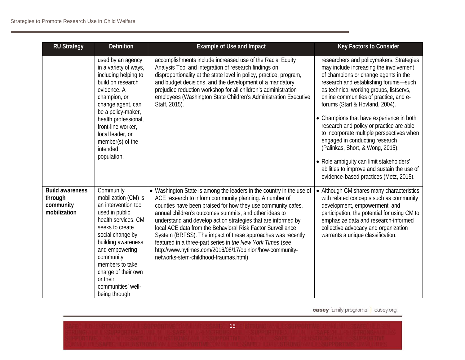| <b>RU Strategy</b>                                             | <b>Definition</b>                                                                                                                                                                                                                                                                           | <b>Example of Use and Impact</b>                                                                                                                                                                                                                                                                                                                                                                                                                                                                                                                                                                                           | Key Factors to Consider                                                                                                                                                                                                                                                                                                                                                                                                                                                                                                                                                                                                                     |
|----------------------------------------------------------------|---------------------------------------------------------------------------------------------------------------------------------------------------------------------------------------------------------------------------------------------------------------------------------------------|----------------------------------------------------------------------------------------------------------------------------------------------------------------------------------------------------------------------------------------------------------------------------------------------------------------------------------------------------------------------------------------------------------------------------------------------------------------------------------------------------------------------------------------------------------------------------------------------------------------------------|---------------------------------------------------------------------------------------------------------------------------------------------------------------------------------------------------------------------------------------------------------------------------------------------------------------------------------------------------------------------------------------------------------------------------------------------------------------------------------------------------------------------------------------------------------------------------------------------------------------------------------------------|
|                                                                | used by an agency<br>in a variety of ways,<br>including helping to<br>build on research<br>evidence. A<br>champion, or<br>change agent, can<br>be a policy-maker,<br>health professional,<br>front-line worker,<br>local leader, or<br>member(s) of the<br>intended<br>population.          | accomplishments include increased use of the Racial Equity<br>Analysis Tool and integration of research findings on<br>disproportionality at the state level in policy, practice, program,<br>and budget decisions, and the development of a mandatory<br>prejudice reduction workshop for all children's administration<br>employees (Washington State Children's Administration Executive<br>Staff, 2015).                                                                                                                                                                                                               | researchers and policymakers. Strategies<br>may include increasing the involvement<br>of champions or change agents in the<br>research and establishing forums-such<br>as technical working groups, listservs,<br>online communities of practice, and e-<br>forums (Start & Hovland, 2004).<br>• Champions that have experience in both<br>research and policy or practice are able<br>to incorporate multiple perspectives when<br>engaged in conducting research<br>(Palinkas, Short, & Wong, 2015).<br>• Role ambiguity can limit stakeholders'<br>abilities to improve and sustain the use of<br>evidence-based practices (Metz, 2015). |
| <b>Build awareness</b><br>through<br>community<br>mobilization | Community<br>mobilization (CM) is<br>an intervention tool<br>used in public<br>health services. CM<br>seeks to create<br>social change by<br>building awareness<br>and empowering<br>community<br>members to take<br>charge of their own<br>or their<br>communities' well-<br>being through | • Washington State is among the leaders in the country in the use of<br>ACE research to inform community planning. A number of<br>counties have been praised for how they use community cafes,<br>annual children's outcomes summits, and other ideas to<br>understand and develop action strategies that are informed by<br>local ACE data from the Behavioral Risk Factor Surveillance<br>System (BRFSS). The impact of these approaches was recently<br>featured in a three-part series in the New York Times (see<br>http://www.nytimes.com/2016/08/17/opinion/how-community-<br>networks-stem-childhood-traumas.html) | • Although CM shares many characteristics<br>with related concepts such as community<br>development, empowerment, and<br>participation, the potential for using CM to<br>emphasize data and research-informed<br>collective advocacy and organization<br>warrants a unique classification.                                                                                                                                                                                                                                                                                                                                                  |

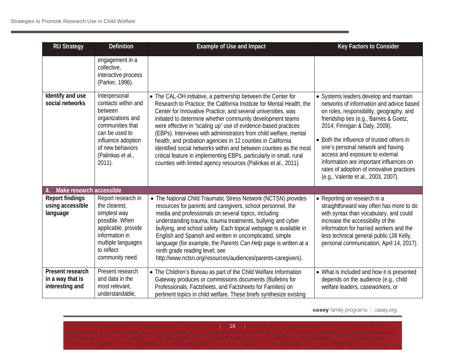| <b>RU Strategy</b>                                      | Definition                                                                                                                                                                             | <b>Example of Use and Impact</b>                                                                                                                                                                                                                                                                                                                                                                                                                                                                                                                                                                                                                                                            | Key Factors to Consider                                                                                                                                                                                                                                                                                                                                                                                                                                       |
|---------------------------------------------------------|----------------------------------------------------------------------------------------------------------------------------------------------------------------------------------------|---------------------------------------------------------------------------------------------------------------------------------------------------------------------------------------------------------------------------------------------------------------------------------------------------------------------------------------------------------------------------------------------------------------------------------------------------------------------------------------------------------------------------------------------------------------------------------------------------------------------------------------------------------------------------------------------|---------------------------------------------------------------------------------------------------------------------------------------------------------------------------------------------------------------------------------------------------------------------------------------------------------------------------------------------------------------------------------------------------------------------------------------------------------------|
|                                                         | engagement in a<br>collective,<br>interactive process<br>(Parker, 1996).                                                                                                               |                                                                                                                                                                                                                                                                                                                                                                                                                                                                                                                                                                                                                                                                                             |                                                                                                                                                                                                                                                                                                                                                                                                                                                               |
| Identify and use<br>social networks                     | Interpersonal<br>contacts within and<br>between<br>organizations and<br>communities that<br>can be used to<br>influence adoption<br>of new behaviors<br>(Palinkas et al.,<br>$2011$ ). | • The CAL-OH initiative, a partnership between the Center for<br>Research to Practice, the California Institute for Mental Health, the<br>Center for Innovative Practice, and several universities, was<br>initiated to determine whether community development teams<br>were effective in "scaling up" use of evidence-based practices<br>(EBPs). Interviews with administrators from child welfare, mental<br>health, and probation agencies in 12 counties in California<br>identified social networks within and between counties as the most<br>critical feature in implementing EBPs, particularly in small, rural<br>counties with limited agency resources (Palinkas et al., 2011). | • Systems leaders develop and maintain<br>networks of information and advice based<br>on roles, responsibility, geography, and<br>friendship ties (e.g., Barnes & Goetz,<br>2014; Finnigan & Daly, 2009).<br>• Both the influence of trusted others in<br>one's personal network and having<br>access and exposure to external<br>information are important influences on<br>rates of adoption of innovative practices<br>(e.g., Valente et al., 2003, 2007). |
| Make research accessible                                |                                                                                                                                                                                        |                                                                                                                                                                                                                                                                                                                                                                                                                                                                                                                                                                                                                                                                                             |                                                                                                                                                                                                                                                                                                                                                                                                                                                               |
| <b>Report findings</b><br>using accessible<br>language  | Report research in<br>the clearest,<br>simplest way<br>possible. When<br>applicable, provide<br>information in<br>multiple languages<br>to reflect<br>community need.                  | • The National Child Traumatic Stress Network (NCTSN) provides<br>resources for parents and caregivers, school personnel, the<br>media and professionals on several topics, including<br>understanding trauma, trauma treatments, bullying and cyber<br>bullying, and school safety. Each topical webpage is available in<br>English and Spanish and written in uncomplicated, simple<br>language (for example, the Parents Can Help page is written at a<br>ninth grade reading level; see<br>http://www.nctsn.org/resources/audiences/parents-caregivers).                                                                                                                                | • Reporting on research in a<br>straightforward way often has more to do<br>with syntax than vocabulary, and could<br>increase the accessibility of the<br>information for harried workers and the<br>less technical general public (Jill Kelly,<br>personal communication, April 14, 2017).                                                                                                                                                                  |
| Present research<br>in a way that is<br>interesting and | Present research<br>and data in the<br>most relevant,<br>understandable,                                                                                                               | • The Children's Bureau as part of the Child Welfare Information<br>Gateway produces or commissions documents (Bulletins for<br>Professionals, Factsheets, and Factsheets for Families) on<br>pertinent topics in child welfare. These briefs synthesize existing                                                                                                                                                                                                                                                                                                                                                                                                                           | • What is included and how it is presented<br>depends on the audience (e.g., child<br>welfare leaders, caseworkers, or                                                                                                                                                                                                                                                                                                                                        |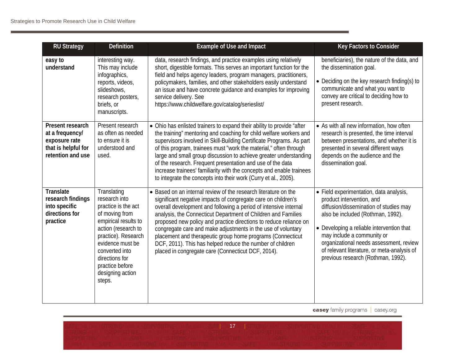| <b>RU Strategy</b>                                                                               | <b>Definition</b>                                                                                                                                                                                                                                    | <b>Example of Use and Impact</b>                                                                                                                                                                                                                                                                                                                                                                                                                                                                                                                                                            | Key Factors to Consider                                                                                                                                                                                                                                                                                                                                        |
|--------------------------------------------------------------------------------------------------|------------------------------------------------------------------------------------------------------------------------------------------------------------------------------------------------------------------------------------------------------|---------------------------------------------------------------------------------------------------------------------------------------------------------------------------------------------------------------------------------------------------------------------------------------------------------------------------------------------------------------------------------------------------------------------------------------------------------------------------------------------------------------------------------------------------------------------------------------------|----------------------------------------------------------------------------------------------------------------------------------------------------------------------------------------------------------------------------------------------------------------------------------------------------------------------------------------------------------------|
| easy to<br>understand                                                                            | interesting way.<br>This may include<br>infographics,<br>reports, videos,<br>slideshows,<br>research posters,<br>briefs, or<br>manuscripts.                                                                                                          | data, research findings, and practice examples using relatively<br>short, digestible formats. This serves an important function for the<br>field and helps agency leaders, program managers, practitioners,<br>policymakers, families, and other stakeholders easily understand<br>an issue and have concrete guidance and examples for improving<br>service delivery. See<br>https://www.childwelfare.gov/catalog/serieslist/                                                                                                                                                              | beneficiaries), the nature of the data, and<br>the dissemination goal.<br>• Deciding on the key research finding(s) to<br>communicate and what you want to<br>convey are critical to deciding how to<br>present research.                                                                                                                                      |
| Present research<br>at a frequency/<br>exposure rate<br>that is helpful for<br>retention and use | Present research<br>as often as needed<br>to ensure it is<br>understood and<br>used.                                                                                                                                                                 | • Ohio has enlisted trainers to expand their ability to provide "after<br>the training" mentoring and coaching for child welfare workers and<br>supervisors involved in Skill-Building Certificate Programs. As part<br>of this program, trainees must "work the material," often through<br>large and small group discussion to achieve greater understanding<br>of the research. Frequent presentation and use of the data<br>increase trainees' familiarity with the concepts and enable trainees<br>to integrate the concepts into their work (Curry et al., 2005).                     | • As with all new information, how often<br>research is presented, the time interval<br>between presentations, and whether it is<br>presented in several different ways<br>depends on the audience and the<br>dissemination goal.                                                                                                                              |
| <b>Translate</b><br>research findings<br>into specific<br>directions for<br>practice             | Translating<br>research into<br>practice is the act<br>of moving from<br>empirical results to<br>action (research to<br>practice). Research<br>evidence must be<br>converted into<br>directions for<br>practice before<br>designing action<br>steps. | • Based on an internal review of the research literature on the<br>significant negative impacts of congregate care on children's<br>overall development and following a period of intensive internal<br>analysis, the Connecticut Department of Children and Families<br>proposed new policy and practice directions to reduce reliance on<br>congregate care and make adjustments in the use of voluntary<br>placement and therapeutic group home programs (Connecticut<br>DCF, 2011). This has helped reduce the number of children<br>placed in congregate care (Connecticut DCF, 2014). | • Field experimentation, data analysis,<br>product intervention, and<br>diffusion/dissemination of studies may<br>also be included (Rothman, 1992).<br>• Developing a reliable intervention that<br>may include a community or<br>organizational needs assessment, review<br>of relevant literature, or meta-analysis of<br>previous research (Rothman, 1992). |

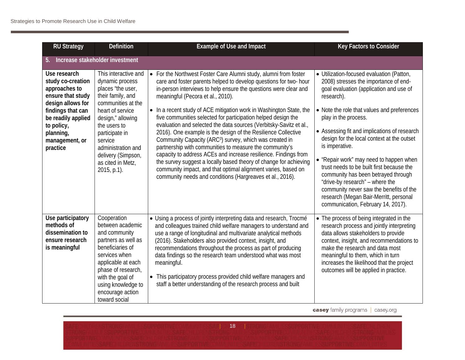| <b>RU Strategy</b>                                                                                                                                                                               | <b>Definition</b>                                                                                                                                                                                                                                                             | <b>Example of Use and Impact</b>                                                                                                                                                                                                                                                                                                                                                                                                                                                                                                                                                                                                                                                                                                                                                                                                                                                                                                                 | Key Factors to Consider                                                                                                                                                                                                                                                                                                                                                                                                                                                                                                                                                                                                         |
|--------------------------------------------------------------------------------------------------------------------------------------------------------------------------------------------------|-------------------------------------------------------------------------------------------------------------------------------------------------------------------------------------------------------------------------------------------------------------------------------|--------------------------------------------------------------------------------------------------------------------------------------------------------------------------------------------------------------------------------------------------------------------------------------------------------------------------------------------------------------------------------------------------------------------------------------------------------------------------------------------------------------------------------------------------------------------------------------------------------------------------------------------------------------------------------------------------------------------------------------------------------------------------------------------------------------------------------------------------------------------------------------------------------------------------------------------------|---------------------------------------------------------------------------------------------------------------------------------------------------------------------------------------------------------------------------------------------------------------------------------------------------------------------------------------------------------------------------------------------------------------------------------------------------------------------------------------------------------------------------------------------------------------------------------------------------------------------------------|
| 5.                                                                                                                                                                                               | Increase stakeholder investment                                                                                                                                                                                                                                               |                                                                                                                                                                                                                                                                                                                                                                                                                                                                                                                                                                                                                                                                                                                                                                                                                                                                                                                                                  |                                                                                                                                                                                                                                                                                                                                                                                                                                                                                                                                                                                                                                 |
| Use research<br>study co-creation<br>approaches to<br>ensure that study<br>design allows for<br>findings that can<br>be readily applied<br>to policy,<br>planning,<br>management, or<br>practice | This interactive and<br>dynamic process<br>places "the user,<br>their family, and<br>communities at the<br>heart of service<br>design," allowing<br>the users to<br>participate in<br>service<br>administration and<br>delivery (Simpson,<br>as cited in Metz,<br>2015, p.1). | For the Northwest Foster Care Alumni study, alumni from foster<br>$\bullet$<br>care and foster parents helped to develop questions for two- hour<br>in-person interviews to help ensure the questions were clear and<br>meaningful (Pecora et al., 2010).<br>• In a recent study of ACE mitigation work in Washington State, the<br>five communities selected for participation helped design the<br>evaluation and selected the data sources (Verbitsky-Savitz et al.,<br>2016). One example is the design of the Resilience Collective<br>Community Capacity (ARC <sup>3</sup> ) survey, which was created in<br>partnership with communities to measure the community's<br>capacity to address ACEs and increase resilience. Findings from<br>the survey suggest a locally based theory of change for achieving<br>community impact, and that optimal alignment varies, based on<br>community needs and conditions (Hargreaves et al., 2016). | · Utilization-focused evaluation (Patton,<br>2008) stresses the importance of end-<br>goal evaluation (application and use of<br>research).<br>• Note the role that values and preferences<br>play in the process.<br>• Assessing fit and implications of research<br>design for the local context at the outset<br>is imperative.<br>• "Repair work" may need to happen when<br>trust needs to be built first because the<br>community has been betrayed through<br>"drive-by research" - where the<br>community never saw the benefits of the<br>research (Megan Bair-Merritt, personal<br>communication, February 14, 2017). |
| Use participatory<br>methods of<br>dissemination to<br>ensure research<br>is meaningful                                                                                                          | Cooperation<br>between academic<br>and community<br>partners as well as<br>beneficiaries of<br>services when<br>applicable at each<br>phase of research,<br>with the goal of<br>using knowledge to<br>encourage action<br>toward social                                       | • Using a process of jointly interpreting data and research, Trocmé<br>and colleagues trained child welfare managers to understand and<br>use a range of longitudinal and multivariate analytical methods<br>(2016). Stakeholders also provided context, insight, and<br>recommendations throughout the process as part of producing<br>data findings so the research team understood what was most<br>meaningful.<br>• This participatory process provided child welfare managers and<br>staff a better understanding of the research process and built                                                                                                                                                                                                                                                                                                                                                                                         | • The process of being integrated in the<br>research process and jointly interpreting<br>data allows stakeholders to provide<br>context, insight, and recommendations to<br>make the research and data most<br>meaningful to them, which in turn<br>increases the likelihood that the project<br>outcomes will be applied in practice.                                                                                                                                                                                                                                                                                          |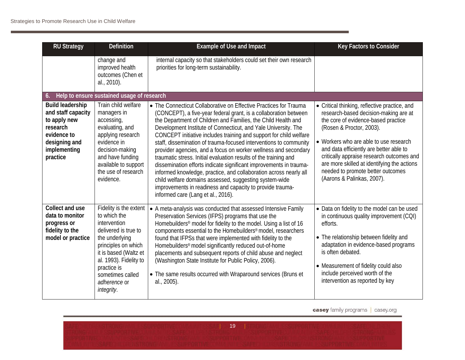| <b>RU Strategy</b>                                                                                                                    | <b>Definition</b>                                                                                                                                                                                                                           | <b>Example of Use and Impact</b>                                                                                                                                                                                                                                                                                                                                                                                                                                                                                                                                                                                                                                                                                                                                                                                                                                   | Key Factors to Consider                                                                                                                                                                                                                                                                                                                                                                                       |
|---------------------------------------------------------------------------------------------------------------------------------------|---------------------------------------------------------------------------------------------------------------------------------------------------------------------------------------------------------------------------------------------|--------------------------------------------------------------------------------------------------------------------------------------------------------------------------------------------------------------------------------------------------------------------------------------------------------------------------------------------------------------------------------------------------------------------------------------------------------------------------------------------------------------------------------------------------------------------------------------------------------------------------------------------------------------------------------------------------------------------------------------------------------------------------------------------------------------------------------------------------------------------|---------------------------------------------------------------------------------------------------------------------------------------------------------------------------------------------------------------------------------------------------------------------------------------------------------------------------------------------------------------------------------------------------------------|
|                                                                                                                                       | change and<br>improved health<br>outcomes (Chen et<br>al., 2010).                                                                                                                                                                           | internal capacity so that stakeholders could set their own research<br>priorities for long-term sustainability.                                                                                                                                                                                                                                                                                                                                                                                                                                                                                                                                                                                                                                                                                                                                                    |                                                                                                                                                                                                                                                                                                                                                                                                               |
| 6.                                                                                                                                    | Help to ensure sustained usage of research                                                                                                                                                                                                  |                                                                                                                                                                                                                                                                                                                                                                                                                                                                                                                                                                                                                                                                                                                                                                                                                                                                    |                                                                                                                                                                                                                                                                                                                                                                                                               |
| <b>Build leadership</b><br>and staff capacity<br>to apply new<br>research<br>evidence to<br>designing and<br>implementing<br>practice | Train child welfare<br>managers in<br>accessing,<br>evaluating, and<br>applying research<br>evidence in<br>decision-making<br>and have funding<br>available to support<br>the use of research<br>evidence.                                  | • The Connecticut Collaborative on Effective Practices for Trauma<br>(CONCEPT), a five-year federal grant, is a collaboration between<br>the Department of Children and Families, the Child Health and<br>Development Institute of Connecticut, and Yale University. The<br>CONCEPT initiative includes training and support for child welfare<br>staff, dissemination of trauma-focused interventions to community<br>provider agencies, and a focus on worker wellness and secondary<br>traumatic stress. Initial evaluation results of the training and<br>dissemination efforts indicate significant improvements in trauma-<br>informed knowledge, practice, and collaboration across nearly all<br>child welfare domains assessed, suggesting system-wide<br>improvements in readiness and capacity to provide trauma-<br>informed care (Lang et al., 2016). | • Critical thinking, reflective practice, and<br>research-based decision-making are at<br>the core of evidence-based practice<br>(Rosen & Proctor, 2003).<br>• Workers who are able to use research<br>and data efficiently are better able to<br>critically appraise research outcomes and<br>are more skilled at identifying the actions<br>needed to promote better outcomes<br>(Aarons & Palinkas, 2007). |
| Collect and use<br>data to monitor<br>progress or<br>fidelity to the<br>model or practice                                             | Fidelity is the extent<br>to which the<br>intervention<br>delivered is true to<br>the underlying<br>principles on which<br>it is based (Waltz et<br>al. 1993). Fidelity to<br>practice is<br>sometimes called<br>adherence or<br>integrity. | • A meta-analysis was conducted that assessed Intensive Family<br>Preservation Services (IFPS) programs that use the<br>Homebuilders <sup>®</sup> model for fidelity to the model. Using a list of 16<br>components essential to the Homebuilders® model, researchers<br>found that IFPSs that were implemented with fidelity to the<br>Homebuilders <sup>®</sup> model significantly reduced out-of-home<br>placements and subsequent reports of child abuse and neglect<br>(Washington State Institute for Public Policy, 2006).<br>• The same results occurred with Wraparound services (Bruns et<br>al., 2005).                                                                                                                                                                                                                                                | • Data on fidelity to the model can be used<br>in continuous quality improvement (CQI)<br>efforts.<br>• The relationship between fidelity and<br>adaptation in evidence-based programs<br>is often debated.<br>• Measurement of fidelity could also<br>include perceived worth of the<br>intervention as reported by key                                                                                      |

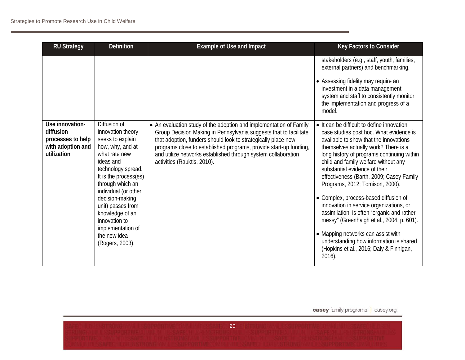| <b>RU Strategy</b>                                                                    | <b>Definition</b>                                                                                                                                                                                                                                                                                                                      | <b>Example of Use and Impact</b>                                                                                                                                                                                                                                                                                                                                              | Key Factors to Consider                                                                                                                                                                                                                                                                                                                                                                                                                                                                                                                                                                                                                                                                               |
|---------------------------------------------------------------------------------------|----------------------------------------------------------------------------------------------------------------------------------------------------------------------------------------------------------------------------------------------------------------------------------------------------------------------------------------|-------------------------------------------------------------------------------------------------------------------------------------------------------------------------------------------------------------------------------------------------------------------------------------------------------------------------------------------------------------------------------|-------------------------------------------------------------------------------------------------------------------------------------------------------------------------------------------------------------------------------------------------------------------------------------------------------------------------------------------------------------------------------------------------------------------------------------------------------------------------------------------------------------------------------------------------------------------------------------------------------------------------------------------------------------------------------------------------------|
|                                                                                       |                                                                                                                                                                                                                                                                                                                                        |                                                                                                                                                                                                                                                                                                                                                                               | stakeholders (e.g., staff, youth, families,<br>external partners) and benchmarking.                                                                                                                                                                                                                                                                                                                                                                                                                                                                                                                                                                                                                   |
|                                                                                       |                                                                                                                                                                                                                                                                                                                                        |                                                                                                                                                                                                                                                                                                                                                                               | • Assessing fidelity may require an<br>investment in a data management<br>system and staff to consistently monitor<br>the implementation and progress of a<br>model.                                                                                                                                                                                                                                                                                                                                                                                                                                                                                                                                  |
| Use innovation-<br>diffusion<br>processes to help<br>with adoption and<br>utilization | Diffusion of<br>innovation theory<br>seeks to explain<br>how, why, and at<br>what rate new<br>ideas and<br>technology spread.<br>It is the process(es)<br>through which an<br>individual (or other<br>decision-making<br>unit) passes from<br>knowledge of an<br>innovation to<br>implementation of<br>the new idea<br>(Rogers, 2003). | • An evaluation study of the adoption and implementation of Family<br>Group Decision Making in Pennsylvania suggests that to facilitate<br>that adoption, funders should look to strategically place new<br>programs close to established programs, provide start-up funding,<br>and utilize networks established through system collaboration<br>activities (Rauktis, 2010). | • It can be difficult to define innovation<br>case studies post hoc. What evidence is<br>available to show that the innovations<br>themselves actually work? There is a<br>long history of programs continuing within<br>child and family welfare without any<br>substantial evidence of their<br>effectiveness (Barth, 2009; Casey Family<br>Programs, 2012; Tomison, 2000).<br>• Complex, process-based diffusion of<br>innovation in service organizations, or<br>assimilation, is often "organic and rather<br>messy" (Greenhalgh et al., 2004, p. 601).<br>• Mapping networks can assist with<br>understanding how information is shared<br>(Hopkins et al., 2016; Daly & Finnigan,<br>$2016$ ). |

| 20 || 20 || 20 || 20 || 20 || 20 || 20 || 20 || 20 || 20 || 20 || 20 || 20 || 20 || 20 || 20 || 20 || 20 ||<br>| 20 || 20 || 20 || 20 || 20 || 20 || 20 || 20 || 20 || 20 || 20 || 20 || 20 || 20 || 20 || 20 || 20 || 20 ||<br>|